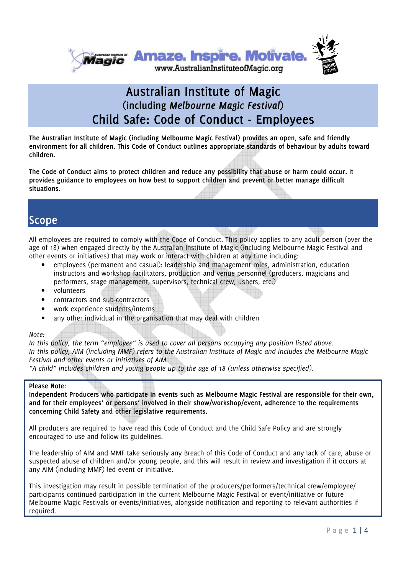

### **Australian Institute of Magic (including** *Melbourne Magic Festival***) Child Safe: Code of Conduct - Employees**

**The Australian Institute of Magic (including Melbourne Magic Festival) provides an open, safe and friendly environment for all children. This Code of Conduct outlines appropriate standards of behaviour by adults toward children.** 

**The Code of Conduct aims to protect children and reduce any possibility that abuse or harm could occur. It provides guidance to employees on how best to support children and prevent or better manage difficult situations.** 

### **Scope**

All employees are required to comply with the Code of Conduct. This policy applies to any adult person (over the age of 18) when engaged directly by the Australian Institute of Magic (including Melbourne Magic Festival and other events or initiatives) that may work or interact with children at any time including:

- employees (permanent and casual): leadership and management roles, administration, education instructors and workshop facilitators, production and venue personnel (producers, magicians and performers, stage management, supervisors, technical crew, ushers, etc.)
- volunteers
- contractors and sub-contractors
- work experience students/interns
- any other individual in the organisation that may deal with children

#### *Note:*

*In this policy, the term "employee" is used to cover all persons occupying any position listed above. In this policy, AIM (including MMF) refers to the Australian Institute of Magic and includes the Melbourne Magic Festival and other events or initiatives of AIM.* 

*"A child" includes children and young people up to the age of 18 (unless otherwise specified).* 

#### **Please Note:**

**Independent Producers who participate in events such as Melbourne Magic Festival are responsible for their own, and for their employees' or persons' involved in their show/workshop/event, adherence to the requirements concerning Child Safety and other legislative requirements.** 

All producers are required to have read this Code of Conduct and the Child Safe Policy and are strongly encouraged to use and follow its guidelines.

The leadership of AIM and MMF take seriously any Breach of this Code of Conduct and any lack of care, abuse or suspected abuse of children and/or young people, and this will result in review and investigation if it occurs at any AIM (including MMF) led event or initiative.

This investigation may result in possible termination of the producers/performers/technical crew/employee/ participants continued participation in the current Melbourne Magic Festival or event/initiative or future Melbourne Magic Festivals or events/initiatives, alongside notification and reporting to relevant authorities if required.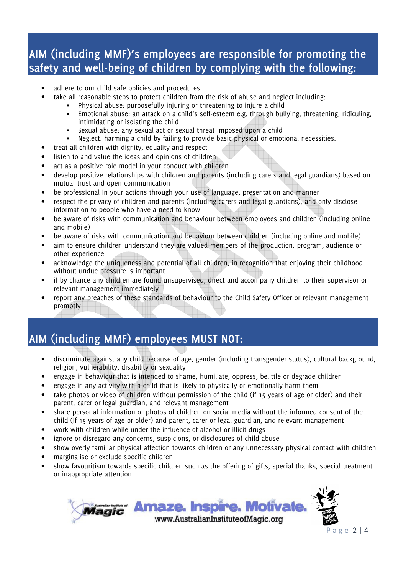## **AIM (including MMF)'s employees are responsible for promoting the safety and well-being of children by complying with the following:**

- adhere to our child safe policies and procedures
- take all reasonable steps to protect children from the risk of abuse and neglect including:
	- Physical abuse: purposefully injuring or threatening to injure a child
		- Emotional abuse: an attack on a child's self-esteem e.g. through bullying, threatening, ridiculing, intimidating or isolating the child
		- Sexual abuse: any sexual act or sexual threat imposed upon a child
	- Neglect: harming a child by failing to provide basic physical or emotional necessities.
- treat all children with dignity, equality and respect
- listen to and value the ideas and opinions of children
- act as a positive role model in your conduct with children
- develop positive relationships with children and parents (including carers and legal guardians) based on mutual trust and open communication
- be professional in your actions through your use of language, presentation and manner
- respect the privacy of children and parents (including carers and legal guardians), and only disclose information to people who have a need to know
- be aware of risks with communication and behaviour between employees and children (including online and mobile)
- be aware of risks with communication and behaviour between children (including online and mobile)
- aim to ensure children understand they are valued members of the production, program, audience or other experience
- acknowledge the uniqueness and potential of all children, in recognition that enjoying their childhood without undue pressure is important
- if by chance any children are found unsupervised, direct and accompany children to their supervisor or relevant management immediately
- report any breaches of these standards of behaviour to the Child Safety Officer or relevant management promptly

# **AIM (including MMF) employees MUST NOT:**

- discriminate against any child because of age, gender (including transgender status), cultural background, religion, vulnerability, disability or sexuality
- engage in behaviour that is intended to shame, humiliate, oppress, belittle or degrade children
- engage in any activity with a child that is likely to physically or emotionally harm them
- take photos or video of children without permission of the child (if 15 years of age or older) and their parent, carer or legal guardian, and relevant management
- share personal information or photos of children on social media without the informed consent of the child (if 15 years of age or older) and parent, carer or legal guardian, and relevant management
- work with children while under the influence of alcohol or illicit drugs
- ignore or disregard any concerns, suspicions, or disclosures of child abuse
- show overly familiar physical affection towards children or any unnecessary physical contact with children
- marginalise or exclude specific children
- show favouritism towards specific children such as the offering of gifts, special thanks, special treatment or inappropriate attention

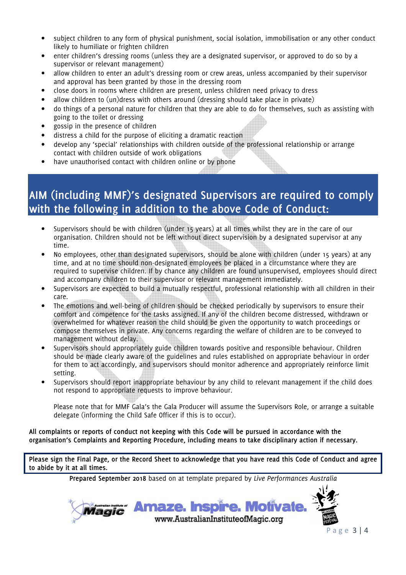- subject children to any form of physical punishment, social isolation, immobilisation or any other conduct likely to humiliate or frighten children
- enter children's dressing rooms (unless they are a designated supervisor, or approved to do so by a supervisor or relevant management)
- allow children to enter an adult's dressing room or crew areas, unless accompanied by their supervisor and approval has been granted by those in the dressing room
- close doors in rooms where children are present, unless children need privacy to dress
- allow children to (un)dress with others around (dressing should take place in private)
- do things of a personal nature for children that they are able to do for themselves, such as assisting with going to the toilet or dressing
- gossip in the presence of children
- distress a child for the purpose of eliciting a dramatic reaction
- develop any 'special' relationships with children outside of the professional relationship or arrange contact with children outside of work obligations
- have unauthorised contact with children online or by phone

# **AIM (including MMF)'s designated Supervisors are required to comply with the following in addition to the above Code of Conduct:**

- Supervisors should be with children (under 15 years) at all times whilst they are in the care of our organisation. Children should not be left without direct supervision by a designated supervisor at any time.
- No employees, other than designated supervisors, should be alone with children (under 15 years) at any time, and at no time should non-designated employees be placed in a circumstance where they are required to supervise children. If by chance any children are found unsupervised, employees should direct and accompany children to their supervisor or relevant management immediately.
- Supervisors are expected to build a mutually respectful, professional relationship with all children in their care.
- The emotions and well-being of children should be checked periodically by supervisors to ensure their comfort and competence for the tasks assigned. If any of the children become distressed, withdrawn or overwhelmed for whatever reason the child should be given the opportunity to watch proceedings or compose themselves in private. Any concerns regarding the welfare of children are to be conveyed to management without delay.
- Supervisors should appropriately guide children towards positive and responsible behaviour. Children should be made clearly aware of the guidelines and rules established on appropriate behaviour in order for them to act accordingly, and supervisors should monitor adherence and appropriately reinforce limit setting.
- Supervisors should report inappropriate behaviour by any child to relevant management if the child does not respond to appropriate requests to improve behaviour.

Please note that for MMF Gala's the Gala Producer will assume the Supervisors Role, or arrange a suitable delegate (informing the Child Safe Officer if this is to occur).

**All complaints or reports of conduct not keeping with this Code will be pursued in accordance with the organisation's Complaints and Reporting Procedure, including means to take disciplinary action if necessary.** 

**Please sign the Final Page, or the Record Sheet to acknowledge that you have read this Code of Conduct and agree to abide by it at all times.** 

**Prepared September 2018** based on at template prepared by *Live Performances Australia*

*Magic' Amaze. Inspire. Motivate.* www.AustralianInstituteofMagic.org